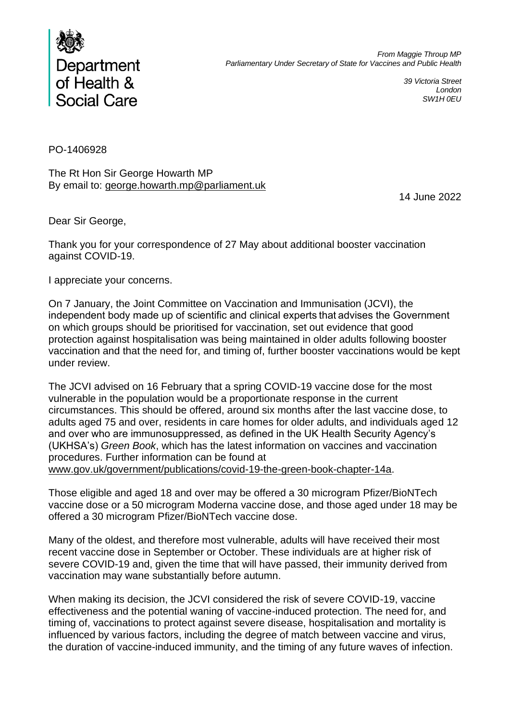

*39 Victoria Street London SW1H 0EU*

PO-1406928

The Rt Hon Sir George Howarth MP By email to: george.howarth.mp@parliament.uk

14 June 2022

Dear Sir George,

Thank you for your correspondence of 27 May about additional booster vaccination against COVID-19.

I appreciate your concerns.

On 7 January, the Joint Committee on Vaccination and Immunisation (JCVI), the independent body made up of scientific and clinical experts that advises the Government on which groups should be prioritised for vaccination, set out evidence that good protection against hospitalisation was being maintained in older adults following booster vaccination and that the need for, and timing of, further booster vaccinations would be kept under review.

The JCVI advised on 16 February that a spring COVID-19 vaccine dose for the most vulnerable in the population would be a proportionate response in the current circumstances. This should be offered, around six months after the last vaccine dose, to adults aged 75 and over, residents in care homes for older adults, and individuals aged 12 and over who are immunosuppressed, as defined in the UK Health Security Agency's (UKHSA's) *Green Book*, which has the latest information on vaccines and vaccination procedures. Further information can be found at www.gov.uk/government/publications/covid-19-the-green-book-chapter-14a.

Those eligible and aged 18 and over may be offered a 30 microgram Pfizer/BioNTech vaccine dose or a 50 microgram Moderna vaccine dose, and those aged under 18 may be offered a 30 microgram Pfizer/BioNTech vaccine dose.

Many of the oldest, and therefore most vulnerable, adults will have received their most recent vaccine dose in September or October. These individuals are at higher risk of severe COVID-19 and, given the time that will have passed, their immunity derived from vaccination may wane substantially before autumn.

When making its decision, the JCVI considered the risk of severe COVID-19, vaccine effectiveness and the potential waning of vaccine-induced protection. The need for, and timing of, vaccinations to protect against severe disease, hospitalisation and mortality is influenced by various factors, including the degree of match between vaccine and virus, the duration of vaccine-induced immunity, and the timing of any future waves of infection.